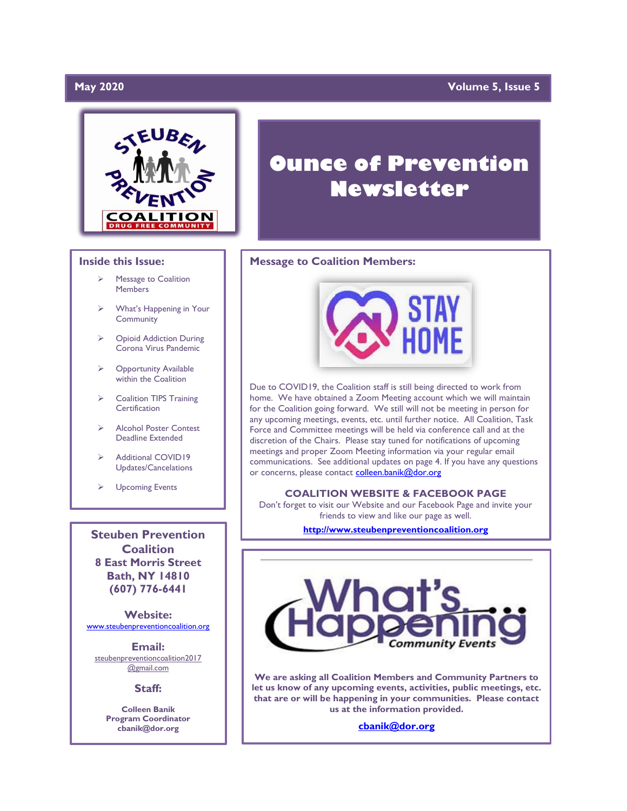### **May 2020**

### **May 2020 Volume 5, Issue 5**



#### **Inside this Issue:**

- ➢ Message to Coalition Members
- What's Happening in Your **Community**
- ➢ Opioid Addiction During Corona Virus Pandemic
- **Opportunity Available** within the Coalition
- ➢ Coalition TIPS Training **Certification**
- ➢ Alcohol Poster Contest Deadline Extended
- Additional COVID19 Updates/Cancelations
- ➢ Upcoming Events

**Steuben Prevention Coalition 8 East Morris Street Bath, NY 14810 (607) 776-6441**

**Website:**  [www.steubenpreventioncoalition.org](http://www.steubenpreventioncoalition.org/)

**Email:**  steubenpreventioncoalition2017 @gmail.com

**Staff:**

**Colleen Banik Program Coordinator cbanik@dor.org**

# **Ounce of Prevention Newsletter**

### **Message to Coalition Members:**



Due to COVID19, the Coalition staff is still being directed to work from home. We have obtained a Zoom Meeting account which we will maintain for the Coalition going forward. We still will not be meeting in person for any upcoming meetings, events, etc. until further notice. All Coalition, Task Force and Committee meetings will be held via conference call and at the discretion of the Chairs. Please stay tuned for notifications of upcoming meetings and proper Zoom Meeting information via your regular email communications. See additional updates on page 4. If you have any questions or concerns, please contact [colleen.banik@dor.org](mailto:colleen.banik@dor.org)

#### **COALITION WEBSITE & FACEBOOK PAGE**

Don't forget to visit our Website and our Facebook Page and invite your friends to view and like our page as well.

**[http://www.steubenpreventioncoalition.org](http://www.steubenpreventioncoalition.org/)**



**We are asking all Coalition Members and Community Partners to let us know of any upcoming events, activities, public meetings, etc. that are or will be happening in your communities. Please contact us at the information provided.**

**[cbanik@dor.org](mailto:cbanik@dor.org)**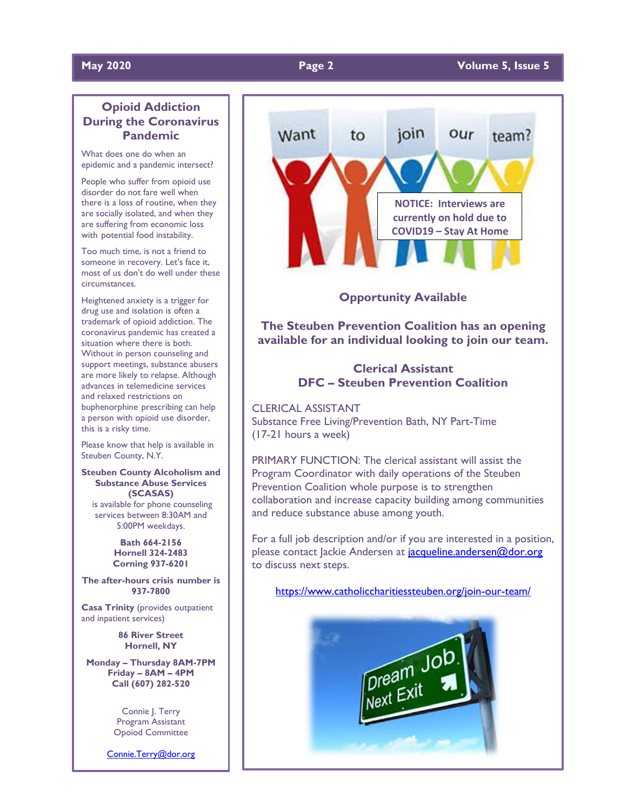# **Opioid Addiction During the Coronavirus Pandemic**

What does one do when an epidemic and a pandemic intersect?

People who suffer from opioid use disorder do not fare well when there is a loss of routine, when they are socially isolated, and when they are suffering from economic loss with potential food instability.

Too much time, is not a friend to someone in recovery. Let's face it, most of us don't do well under these circumstances.

Heightened anxiety is a trigger for drug use and isolation is often a trademark of opioid addiction. The coronavirus pandemic has created a situation where there is both. Without in person counseling and support meetings, substance abusers are more likely to relapse. Although advances in telemedicine services and relaxed restrictions on buphenorphine prescribing can help a person with opioid use disorder, this is a risky time.

Please know that help is available in Steuben County, N.Y.

**Steuben County Alcoholism and Substance Abuse Services (SCASAS)** is available for phone counseling services between 8:30AM and 5:00PM weekdays.

> **Bath 664-2156 Hornell 324-2483 Corning 937-6201**

**The after-hours crisis number is 937-7800**

**Casa Trinity** (provides outpatient and inpatient services)

> **86 River Street Hornell, NY**

**Monday – Thursday 8AM-7PM Friday – 8AM – 4PM Call (607) 282-520**

> Connie | Terry Program Assistant Opoiod Committee

[Connie.Terry@dor.org](mailto:Connie.Terry@dor.org)



**Opportunity Available**

**The Steuben Prevention Coalition has an opening available for an individual looking to join our team.**

# **Clerical Assistant DFC – Steuben Prevention Coalition**

CLERICAL ASSISTANT Substance Free Living/Prevention Bath, NY Part-Time (17-21 hours a week)

PRIMARY FUNCTION: The clerical assistant will assist the Program Coordinator with daily operations of the Steuben Prevention Coalition whole purpose is to strengthen collaboration and increase capacity building among communities and reduce substance abuse among youth.

For a full job description and/or if you are interested in a position, please contact Jackie Andersen at jacqueline.andersen@dor.org to discuss next steps.

<https://www.catholiccharitiessteuben.org/join-our-team/>

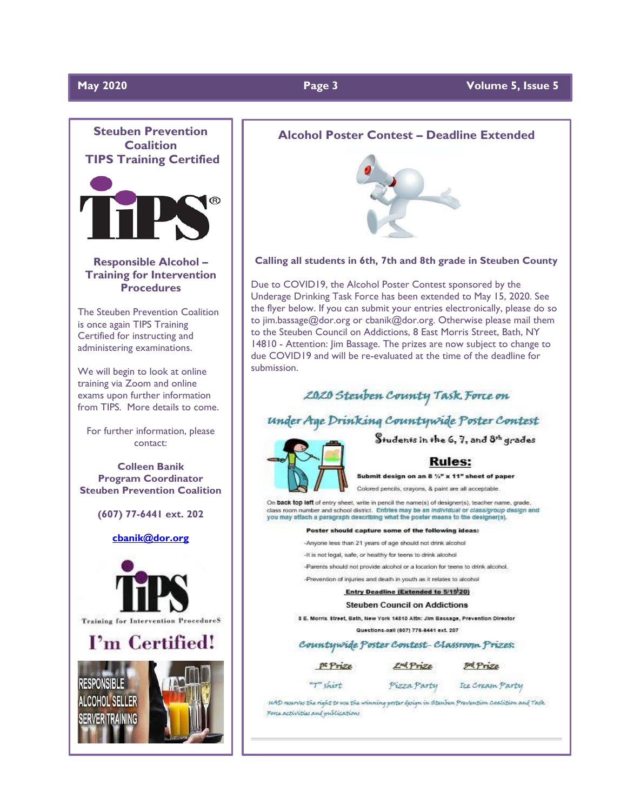

**Procedures**

The Steuben Prevention Coalition is once again TIPS Training Certified for instructing and administering examinations.

We will begin to look at online training via Zoom and online exams upon further information from TIPS. More details to come.

For further information, please contact:

**Colleen Banik Program Coordinator Steuben Prevention Coalition**

**(607) 77-6441 ext. 202**





#### **Alcohol Poster Contest – Deadline Extended**



**Calling all students in 6th, 7th and 8th grade in Steuben County**

Due to COVID19, the Alcohol Poster Contest sponsored by the Underage Drinking Task Force has been extended to May 15, 2020. See the flyer below. If you can submit your entries electronically, please do so to jim.bassage@dor.org or cbanik@dor.org. Otherwise please mail them to the Steuben Council on Addictions, 8 East Morris Street, Bath, NY 14810 - Attention: Jim Bassage. The prizes are now subject to change to due COVID19 and will be re-evaluated at the time of the deadline for submission.

# 2020 Steuben County Task Force on

# under Age Drinking Countywide Poster Contest

Students in the 6, 7, and 8th grades

#### **Rules:**

Submit design on an 8 %" x 11" sheet of paper

Colored pencils, crayons, & paint are all acceptable.

On back top left of entry sheet, write in pencil the name(s) of designer(s), teacher name, grade, class room number and school district. Entries may be an individual or class/group design and<br>you may attach a paragraph describing what the poster means to the designer(s).

#### Poster should capture some of the following ideas:

- -Anyone less than 21 years of age should not drink alcohol
- -It is not legal, safe, or healthy for teens to drink alcohol
- -Parents should not provide alcohol or a location for teens to drink alcohol.

-Prevention of injuries and death in youth as it relates to alcohol

### **Entry Deadline (Extended to 5/15/20)**

**Steuben Council on Addictions** 

8 E. Morris Street, Bath, New York 14810 Attn: Jim Bassage, Prevention Director

Questions-call (607) 776-8441 ext. 207

#### Countywide Poster Contest-Classroom Prizes:

 $prize$  $2<sup>nd</sup> Prize$ 

 $T$ shirt

**ExtPrize** 

Pizza Party Ice Cream Party

siAD reserves the right to see the winning poster design in Steechen Prevention Coalition and Task Force activities and publications